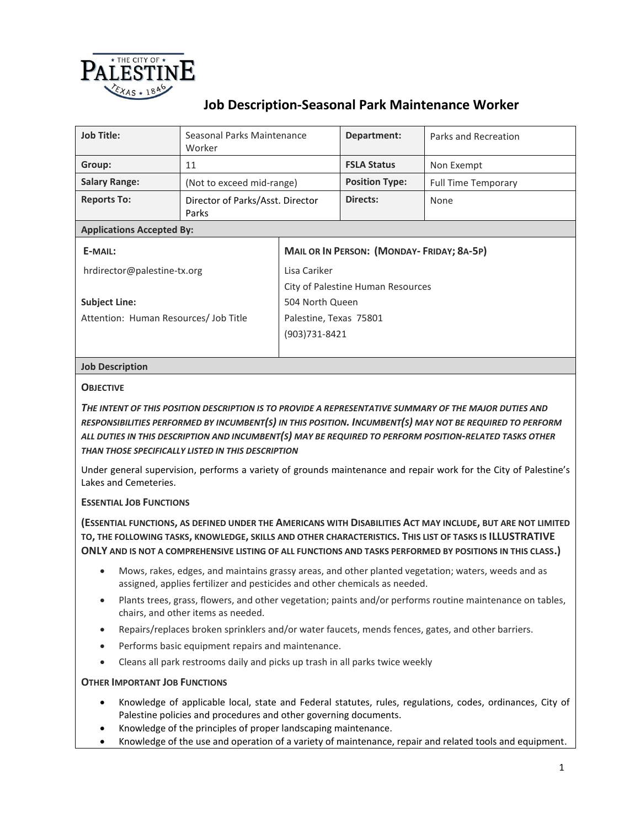

## **Job Description-Seasonal Park Maintenance Worker**

| <b>Job Title:</b>                     | Seasonal Parks Maintenance<br>Worker      |                                                  | Department:           | Parks and Recreation       |  |  |
|---------------------------------------|-------------------------------------------|--------------------------------------------------|-----------------------|----------------------------|--|--|
| Group:                                | 11                                        |                                                  | <b>FSLA Status</b>    | Non Exempt                 |  |  |
| <b>Salary Range:</b>                  | (Not to exceed mid-range)                 |                                                  | <b>Position Type:</b> | <b>Full Time Temporary</b> |  |  |
| <b>Reports To:</b>                    | Director of Parks/Asst. Director<br>Parks |                                                  | Directs:              | None                       |  |  |
| <b>Applications Accepted By:</b>      |                                           |                                                  |                       |                            |  |  |
| E-MAIL:                               |                                           | <b>MAIL OR IN PERSON: (MONDAY-FRIDAY; 8A-5P)</b> |                       |                            |  |  |
| hrdirector@palestine-tx.org           |                                           | Lisa Cariker                                     |                       |                            |  |  |
|                                       |                                           | City of Palestine Human Resources                |                       |                            |  |  |
| <b>Subject Line:</b>                  |                                           | 504 North Queen                                  |                       |                            |  |  |
| Attention: Human Resources/ Job Title |                                           | Palestine, Texas 75801                           |                       |                            |  |  |
|                                       |                                           | (903)731-8421                                    |                       |                            |  |  |
|                                       |                                           |                                                  |                       |                            |  |  |

### **Job Description**

#### **OBJECTIVE**

*THE INTENT OF THIS POSITION DESCRIPTION IS TO PROVIDE A REPRESENTATIVE SUMMARY OF THE MAJOR DUTIES AND RESPONSIBILITIES PERFORMED BY INCUMBENT(S) IN THIS POSITION. INCUMBENT(S) MAY NOT BE REQUIRED TO PERFORM ALL DUTIES IN THIS DESCRIPTION AND INCUMBENT(S) MAY BE REQUIRED TO PERFORM POSITION-RELATED TASKS OTHER THAN THOSE SPECIFICALLY LISTED IN THIS DESCRIPTION*

Under general supervision, performs a variety of grounds maintenance and repair work for the City of Palestine's Lakes and Cemeteries.

#### **ESSENTIAL JOB FUNCTIONS**

**(ESSENTIAL FUNCTIONS, AS DEFINED UNDER THE AMERICANS WITH DISABILITIES ACT MAY INCLUDE, BUT ARE NOT LIMITED TO, THE FOLLOWING TASKS, KNOWLEDGE, SKILLS AND OTHER CHARACTERISTICS. THIS LIST OF TASKS IS ILLUSTRATIVE ONLY AND IS NOT A COMPREHENSIVE LISTING OF ALL FUNCTIONS AND TASKS PERFORMED BY POSITIONS IN THIS CLASS.)**

- Mows, rakes, edges, and maintains grassy areas, and other planted vegetation; waters, weeds and as assigned, applies fertilizer and pesticides and other chemicals as needed.
- Plants trees, grass, flowers, and other vegetation; paints and/or performs routine maintenance on tables, chairs, and other items as needed.
- Repairs/replaces broken sprinklers and/or water faucets, mends fences, gates, and other barriers.
- Performs basic equipment repairs and maintenance.
- Cleans all park restrooms daily and picks up trash in all parks twice weekly

#### **OTHER IMPORTANT JOB FUNCTIONS**

- Knowledge of applicable local, state and Federal statutes, rules, regulations, codes, ordinances, City of Palestine policies and procedures and other governing documents.
- Knowledge of the principles of proper landscaping maintenance.
- Knowledge of the use and operation of a variety of maintenance, repair and related tools and equipment.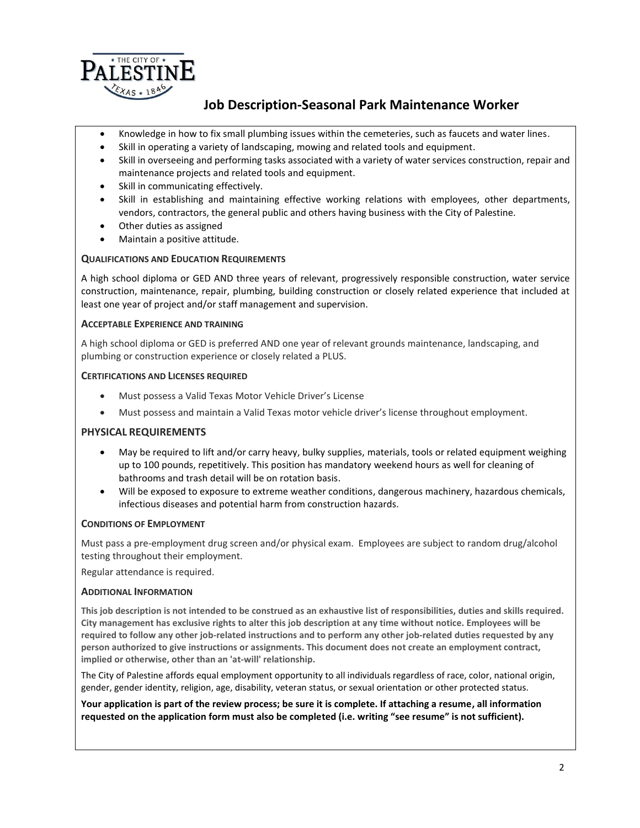

## **Job Description-Seasonal Park Maintenance Worker**

- Knowledge in how to fix small plumbing issues within the cemeteries, such as faucets and water lines.
- Skill in operating a variety of landscaping, mowing and related tools and equipment.
- Skill in overseeing and performing tasks associated with a variety of water services construction, repair and maintenance projects and related tools and equipment.
- Skill in communicating effectively.
- Skill in establishing and maintaining effective working relations with employees, other departments, vendors, contractors, the general public and others having business with the City of Palestine.
- Other duties as assigned
- Maintain a positive attitude.

#### **QUALIFICATIONS AND EDUCATION REQUIREMENTS**

A high school diploma or GED AND three years of relevant, progressively responsible construction, water service construction, maintenance, repair, plumbing, building construction or closely related experience that included at least one year of project and/or staff management and supervision.

#### **ACCEPTABLE EXPERIENCE AND TRAINING**

A high school diploma or GED is preferred AND one year of relevant grounds maintenance, landscaping, and plumbing or construction experience or closely related a PLUS.

#### **CERTIFICATIONS AND LICENSES REQUIRED**

- Must possess a Valid Texas Motor Vehicle Driver's License
- Must possess and maintain a Valid Texas motor vehicle driver's license throughout employment.

#### **PHYSICAL REQUIREMENTS**

- May be required to lift and/or carry heavy, bulky supplies, materials, tools or related equipment weighing up to 100 pounds, repetitively. This position has mandatory weekend hours as well for cleaning of bathrooms and trash detail will be on rotation basis.
- Will be exposed to exposure to extreme weather conditions, dangerous machinery, hazardous chemicals, infectious diseases and potential harm from construction hazards.

#### **CONDITIONS OF EMPLOYMENT**

Must pass a pre-employment drug screen and/or physical exam. Employees are subject to random drug/alcohol testing throughout their employment.

Regular attendance is required.

#### **ADDITIONAL INFORMATION**

**This job description is not intended to be construed as an exhaustive list of responsibilities, duties and skills required. City management has exclusive rights to alter this job description at any time without notice. Employees will be required to follow any other job-related instructions and to perform any other job-related duties requested by any person authorized to give instructions or assignments. This document does not create an employment contract, implied or otherwise, other than an 'at-will' relationship.**

The City of Palestine affords equal employment opportunity to all individuals regardless of race, color, national origin, gender, gender identity, religion, age, disability, veteran status, or sexual orientation or other protected status.

**Your application is part of the review process; be sure it is complete. If attaching a resume, all information requested on the application form must also be completed (i.e. writing "see resume" is not sufficient).**